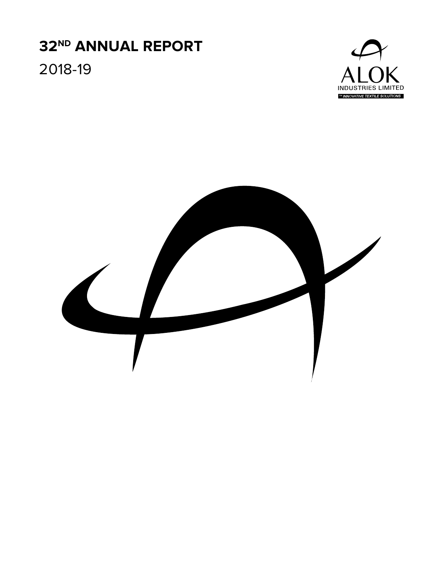## **32ND ANNUAL REPORT** 2018-19



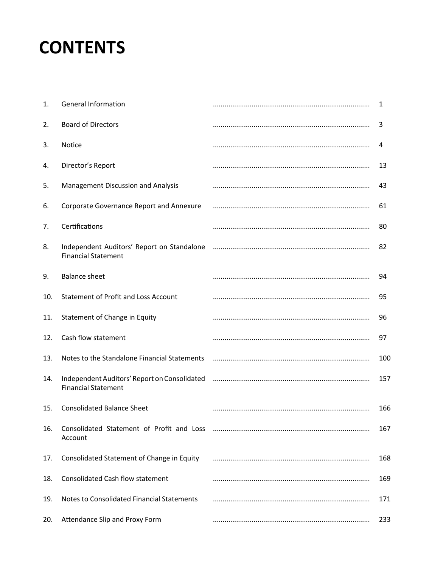## **CONTENTS**

| 1.  | <b>General Information</b>                                                 | 1   |
|-----|----------------------------------------------------------------------------|-----|
| 2.  | <b>Board of Directors</b>                                                  | 3   |
| 3.  | Notice                                                                     | 4   |
| 4.  | Director's Report                                                          | 13  |
| 5.  | Management Discussion and Analysis                                         | 43  |
| 6.  | Corporate Governance Report and Annexure                                   | 61  |
| 7.  | Certifications                                                             | 80  |
| 8.  | Independent Auditors' Report on Standalone<br><b>Financial Statement</b>   | 82  |
| 9.  | <b>Balance sheet</b>                                                       | 94  |
| 10. | <b>Statement of Profit and Loss Account</b>                                | 95  |
| 11. | Statement of Change in Equity                                              | 96  |
| 12. | Cash flow statement                                                        | 97  |
| 13. | Notes to the Standalone Financial Statements                               | 100 |
| 14. | Independent Auditors' Report on Consolidated<br><b>Financial Statement</b> | 157 |
| 15. | <b>Consolidated Balance Sheet</b>                                          | 166 |
| 16. | Consolidated Statement of Profit and Loss<br>Account                       | 167 |
| 17. | Consolidated Statement of Change in Equity                                 | 168 |
| 18. | <b>Consolidated Cash flow statement</b>                                    | 169 |
| 19. | Notes to Consolidated Financial Statements                                 | 171 |
| 20. | Attendance Slip and Proxy Form                                             | 233 |